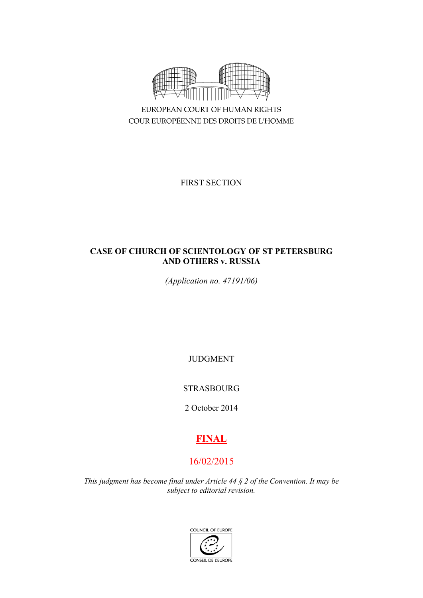

EUROPEAN COURT OF HUMAN RIGHTS COUR EUROPÉENNE DES DROITS DE L'HOMME

FIRST SECTION

# **CASE OF CHURCH OF SCIENTOLOGY OF ST PETERSBURG AND OTHERS v. RUSSIA**

*(Application no. 47191/06)*

JUDGMENT

STRASBOURG

2 October 2014

# **FINAL**

# 16/02/2015

*This judgment has become final under Article 44 § 2 of the Convention. It may be subject to editorial revision.*

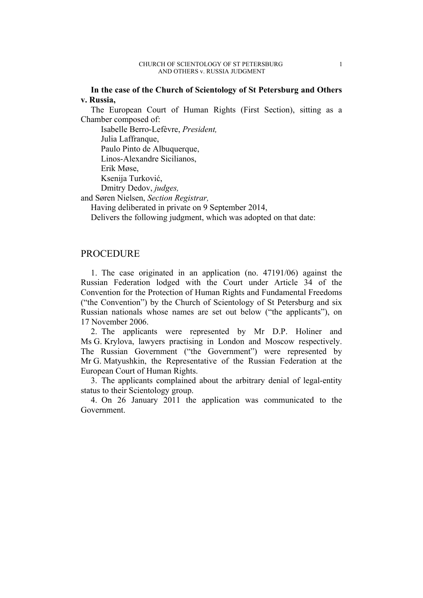### **In the case of the Church of Scientology of St Petersburg and Others v. Russia,**

The European Court of Human Rights (First Section), sitting as a Chamber composed of:

Isabelle Berro-Lefèvre, *President,*

Julia Laffranque,

Paulo Pinto de Albuquerque,

Linos-Alexandre Sicilianos,

Erik Møse,

Ksenija Turković,

Dmitry Dedov, *judges,*

and Søren Nielsen, *Section Registrar,*

Having deliberated in private on 9 September 2014,

Delivers the following judgment, which was adopted on that date:

# PROCEDURE

1. The case originated in an application (no. 47191/06) against the Russian Federation lodged with the Court under Article 34 of the Convention for the Protection of Human Rights and Fundamental Freedoms ("the Convention") by the Church of Scientology of St Petersburg and six Russian nationals whose names are set out below ("the applicants"), on 17 November 2006.

2. The applicants were represented by Mr D.P. Holiner and Ms G. Krylova, lawyers practising in London and Moscow respectively. The Russian Government ("the Government") were represented by Mr G. Matyushkin, the Representative of the Russian Federation at the European Court of Human Rights.

3. The applicants complained about the arbitrary denial of legal-entity status to their Scientology group.

4. On 26 January 2011 the application was communicated to the Government.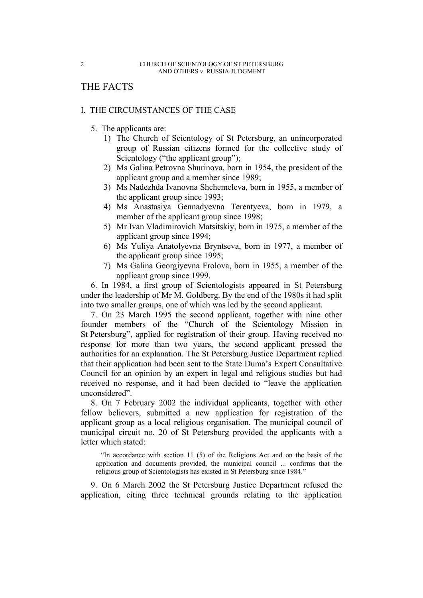# THE FACTS

### I. THE CIRCUMSTANCES OF THE CASE

- 5. The applicants are:
	- 1) The Church of Scientology of St Petersburg, an unincorporated group of Russian citizens formed for the collective study of Scientology ("the applicant group");
	- 2) Ms Galina Petrovna Shurinova, born in 1954, the president of the applicant group and a member since 1989;
	- 3) Ms Nadezhda Ivanovna Shchemeleva, born in 1955, a member of the applicant group since 1993;
	- 4) Ms Anastasiya Gennadyevna Terentyeva, born in 1979, a member of the applicant group since 1998;
	- 5) Mr Ivan Vladimirovich Matsitskiy, born in 1975, a member of the applicant group since 1994;
	- 6) Ms Yuliya Anatolyevna Bryntseva, born in 1977, a member of the applicant group since 1995;
	- 7) Ms Galina Georgiyevna Frolova, born in 1955, a member of the applicant group since 1999.

6. In 1984, a first group of Scientologists appeared in St Petersburg under the leadership of Mr M. Goldberg. By the end of the 1980s it had split into two smaller groups, one of which was led by the second applicant.

7. On 23 March 1995 the second applicant, together with nine other founder members of the "Church of the Scientology Mission in St Petersburg", applied for registration of their group. Having received no response for more than two years, the second applicant pressed the authorities for an explanation. The St Petersburg Justice Department replied that their application had been sent to the State Duma's Expert Consultative Council for an opinion by an expert in legal and religious studies but had received no response, and it had been decided to "leave the application unconsidered".

8. On 7 February 2002 the individual applicants, together with other fellow believers, submitted a new application for registration of the applicant group as a local religious organisation. The municipal council of municipal circuit no. 20 of St Petersburg provided the applicants with a letter which stated:

"In accordance with section 11 (5) of the Religions Act and on the basis of the application and documents provided, the municipal council ... confirms that the religious group of Scientologists has existed in St Petersburg since 1984."

9. On 6 March 2002 the St Petersburg Justice Department refused the application, citing three technical grounds relating to the application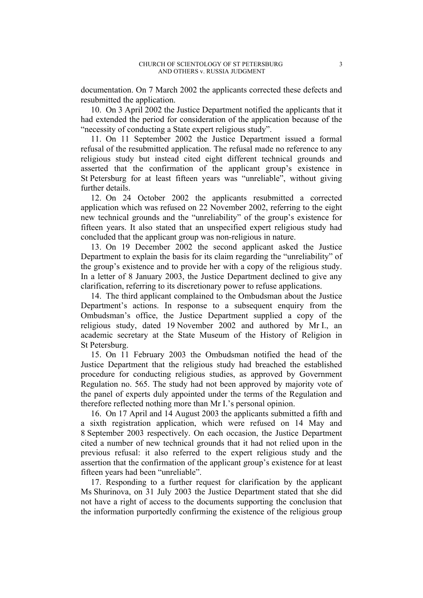documentation. On 7 March 2002 the applicants corrected these defects and resubmitted the application.

10. On 3 April 2002 the Justice Department notified the applicants that it had extended the period for consideration of the application because of the "necessity of conducting a State expert religious study".

11. On 11 September 2002 the Justice Department issued a formal refusal of the resubmitted application. The refusal made no reference to any religious study but instead cited eight different technical grounds and asserted that the confirmation of the applicant group's existence in St Petersburg for at least fifteen years was "unreliable", without giving further details.

12. On 24 October 2002 the applicants resubmitted a corrected application which was refused on 22 November 2002, referring to the eight new technical grounds and the "unreliability" of the group's existence for fifteen years. It also stated that an unspecified expert religious study had concluded that the applicant group was non-religious in nature.

13. On 19 December 2002 the second applicant asked the Justice Department to explain the basis for its claim regarding the "unreliability" of the group's existence and to provide her with a copy of the religious study. In a letter of 8 January 2003, the Justice Department declined to give any clarification, referring to its discretionary power to refuse applications.

14. The third applicant complained to the Ombudsman about the Justice Department's actions. In response to a subsequent enquiry from the Ombudsman's office, the Justice Department supplied a copy of the religious study, dated 19 November 2002 and authored by Mr I., an academic secretary at the State Museum of the History of Religion in St Petersburg.

15. On 11 February 2003 the Ombudsman notified the head of the Justice Department that the religious study had breached the established procedure for conducting religious studies, as approved by Government Regulation no. 565. The study had not been approved by majority vote of the panel of experts duly appointed under the terms of the Regulation and therefore reflected nothing more than Mr I.'s personal opinion.

16. On 17 April and 14 August 2003 the applicants submitted a fifth and a sixth registration application, which were refused on 14 May and 8 September 2003 respectively. On each occasion, the Justice Department cited a number of new technical grounds that it had not relied upon in the previous refusal: it also referred to the expert religious study and the assertion that the confirmation of the applicant group's existence for at least fifteen years had been "unreliable".

17. Responding to a further request for clarification by the applicant Ms Shurinova, on 31 July 2003 the Justice Department stated that she did not have a right of access to the documents supporting the conclusion that the information purportedly confirming the existence of the religious group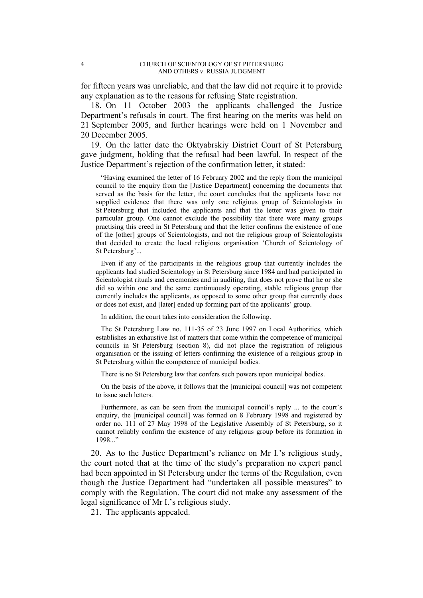for fifteen years was unreliable, and that the law did not require it to provide any explanation as to the reasons for refusing State registration.

18. On 11 October 2003 the applicants challenged the Justice Department's refusals in court. The first hearing on the merits was held on 21 September 2005, and further hearings were held on 1 November and 20 December 2005.

19. On the latter date the Oktyabrskiy District Court of St Petersburg gave judgment, holding that the refusal had been lawful. In respect of the Justice Department's rejection of the confirmation letter, it stated:

"Having examined the letter of 16 February 2002 and the reply from the municipal council to the enquiry from the [Justice Department] concerning the documents that served as the basis for the letter, the court concludes that the applicants have not supplied evidence that there was only one religious group of Scientologists in St Petersburg that included the applicants and that the letter was given to their particular group. One cannot exclude the possibility that there were many groups practising this creed in St Petersburg and that the letter confirms the existence of one of the [other] groups of Scientologists, and not the religious group of Scientologists that decided to create the local religious organisation 'Church of Scientology of St Petersburg'...

Even if any of the participants in the religious group that currently includes the applicants had studied Scientology in St Petersburg since 1984 and had participated in Scientologist rituals and ceremonies and in auditing, that does not prove that he or she did so within one and the same continuously operating, stable religious group that currently includes the applicants, as opposed to some other group that currently does or does not exist, and [later] ended up forming part of the applicants' group.

In addition, the court takes into consideration the following.

The St Petersburg Law no. 111-35 of 23 June 1997 on Local Authorities, which establishes an exhaustive list of matters that come within the competence of municipal councils in St Petersburg (section 8), did not place the registration of religious organisation or the issuing of letters confirming the existence of a religious group in St Petersburg within the competence of municipal bodies.

There is no St Petersburg law that confers such powers upon municipal bodies.

On the basis of the above, it follows that the [municipal council] was not competent to issue such letters.

Furthermore, as can be seen from the municipal council's reply ... to the court's enquiry, the [municipal council] was formed on 8 February 1998 and registered by order no. 111 of 27 May 1998 of the Legislative Assembly of St Petersburg, so it cannot reliably confirm the existence of any religious group before its formation in 1998..."

20. As to the Justice Department's reliance on Mr I.'s religious study, the court noted that at the time of the study's preparation no expert panel had been appointed in St Petersburg under the terms of the Regulation, even though the Justice Department had "undertaken all possible measures" to comply with the Regulation. The court did not make any assessment of the legal significance of Mr I.'s religious study.

21. The applicants appealed.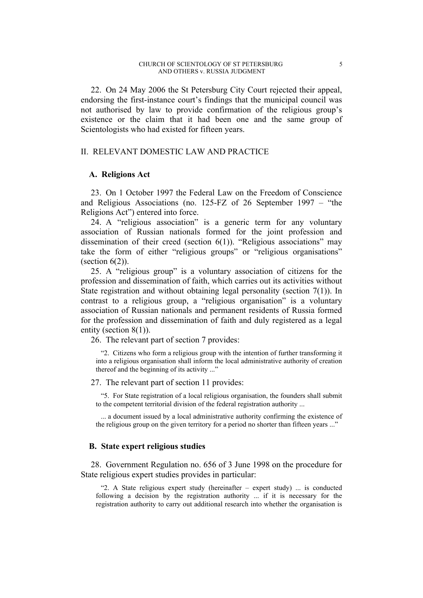22. On 24 May 2006 the St Petersburg City Court rejected their appeal, endorsing the first-instance court's findings that the municipal council was not authorised by law to provide confirmation of the religious group's existence or the claim that it had been one and the same group of Scientologists who had existed for fifteen years.

#### II. RELEVANT DOMESTIC LAW AND PRACTICE

### **A. Religions Act**

23. On 1 October 1997 the Federal Law on the Freedom of Conscience and Religious Associations (no. 125-FZ of 26 September 1997 – "the Religions Act") entered into force.

24. A "religious association" is a generic term for any voluntary association of Russian nationals formed for the joint profession and dissemination of their creed (section  $6(1)$ ). "Religious associations" may take the form of either "religious groups" or "religious organisations" (section  $6(2)$ ).

25. A "religious group" is a voluntary association of citizens for the profession and dissemination of faith, which carries out its activities without State registration and without obtaining legal personality (section 7(1)). In contrast to a religious group, a "religious organisation" is a voluntary association of Russian nationals and permanent residents of Russia formed for the profession and dissemination of faith and duly registered as a legal entity (section 8(1)).

26. The relevant part of section 7 provides:

"2. Citizens who form a religious group with the intention of further transforming it into a religious organisation shall inform the local administrative authority of creation thereof and the beginning of its activity ..."

27. The relevant part of section 11 provides:

"5. For State registration of a local religious organisation, the founders shall submit to the competent territorial division of the federal registration authority ...

... a document issued by a local administrative authority confirming the existence of the religious group on the given territory for a period no shorter than fifteen years ..."

### **B. State expert religious studies**

28. Government Regulation no. 656 of 3 June 1998 on the procedure for State religious expert studies provides in particular:

"2. A State religious expert study (hereinafter – expert study) ... is conducted following a decision by the registration authority ... if it is necessary for the registration authority to carry out additional research into whether the organisation is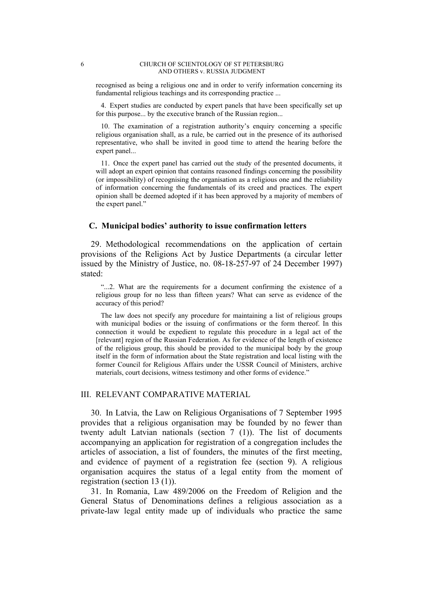#### 6 CHURCH OF SCIENTOLOGY OF ST PETERSBURG AND OTHERS v. RUSSIA JUDGMENT

recognised as being a religious one and in order to verify information concerning its fundamental religious teachings and its corresponding practice ...

4. Expert studies are conducted by expert panels that have been specifically set up for this purpose... by the executive branch of the Russian region...

10. The examination of a registration authority's enquiry concerning a specific religious organisation shall, as a rule, be carried out in the presence of its authorised representative, who shall be invited in good time to attend the hearing before the expert panel...

11. Once the expert panel has carried out the study of the presented documents, it will adopt an expert opinion that contains reasoned findings concerning the possibility (or impossibility) of recognising the organisation as a religious one and the reliability of information concerning the fundamentals of its creed and practices. The expert opinion shall be deemed adopted if it has been approved by a majority of members of the expert panel."

#### **C. Municipal bodies' authority to issue confirmation letters**

29. Methodological recommendations on the application of certain provisions of the Religions Act by Justice Departments (a circular letter issued by the Ministry of Justice, no. 08-18-257-97 of 24 December 1997) stated:

"...2. What are the requirements for a document confirming the existence of a religious group for no less than fifteen years? What can serve as evidence of the accuracy of this period?

The law does not specify any procedure for maintaining a list of religious groups with municipal bodies or the issuing of confirmations or the form thereof. In this connection it would be expedient to regulate this procedure in a legal act of the [relevant] region of the Russian Federation. As for evidence of the length of existence of the religious group, this should be provided to the municipal body by the group itself in the form of information about the State registration and local listing with the former Council for Religious Affairs under the USSR Council of Ministers, archive materials, court decisions, witness testimony and other forms of evidence."

#### III. RELEVANT COMPARATIVE MATERIAL

30. In Latvia, the Law on Religious Organisations of 7 September 1995 provides that a religious organisation may be founded by no fewer than twenty adult Latvian nationals (section 7 (1)). The list of documents accompanying an application for registration of a congregation includes the articles of association, a list of founders, the minutes of the first meeting, and evidence of payment of a registration fee (section 9). A religious organisation acquires the status of a legal entity from the moment of registration (section 13 (1)).

31. In Romania, Law 489/2006 on the Freedom of Religion and the General Status of Denominations defines a religious association as a private-law legal entity made up of individuals who practice the same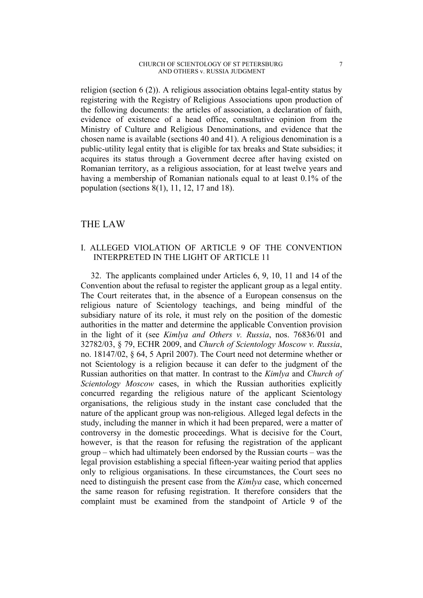#### CHURCH OF SCIENTOLOGY OF ST PETERSBURG 7 AND OTHERS v. RUSSIA JUDGMENT

religion (section 6 (2)). A religious association obtains legal-entity status by registering with the Registry of Religious Associations upon production of the following documents: the articles of association, a declaration of faith, evidence of existence of a head office, consultative opinion from the Ministry of Culture and Religious Denominations, and evidence that the chosen name is available (sections 40 and 41). A religious denomination is a public-utility legal entity that is eligible for tax breaks and State subsidies; it acquires its status through a Government decree after having existed on Romanian territory, as a religious association, for at least twelve years and having a membership of Romanian nationals equal to at least 0.1% of the population (sections 8(1), 11, 12, 17 and 18).

## THE LAW

### I. ALLEGED VIOLATION OF ARTICLE 9 OF THE CONVENTION INTERPRETED IN THE LIGHT OF ARTICLE 11

32. The applicants complained under Articles 6, 9, 10, 11 and 14 of the Convention about the refusal to register the applicant group as a legal entity. The Court reiterates that, in the absence of a European consensus on the religious nature of Scientology teachings, and being mindful of the subsidiary nature of its role, it must rely on the position of the domestic authorities in the matter and determine the applicable Convention provision in the light of it (see *Kimlya and Others v. Russia*, nos. 76836/01 and 32782/03, § 79, ECHR 2009, and *Church of Scientology Moscow v. Russia*, no. 18147/02, § 64, 5 April 2007). The Court need not determine whether or not Scientology is a religion because it can defer to the judgment of the Russian authorities on that matter. In contrast to the *Kimlya* and *Church of Scientology Moscow* cases, in which the Russian authorities explicitly concurred regarding the religious nature of the applicant Scientology organisations, the religious study in the instant case concluded that the nature of the applicant group was non-religious. Alleged legal defects in the study, including the manner in which it had been prepared, were a matter of controversy in the domestic proceedings. What is decisive for the Court, however, is that the reason for refusing the registration of the applicant group – which had ultimately been endorsed by the Russian courts – was the legal provision establishing a special fifteen-year waiting period that applies only to religious organisations. In these circumstances, the Court sees no need to distinguish the present case from the *Kimlya* case, which concerned the same reason for refusing registration. It therefore considers that the complaint must be examined from the standpoint of Article 9 of the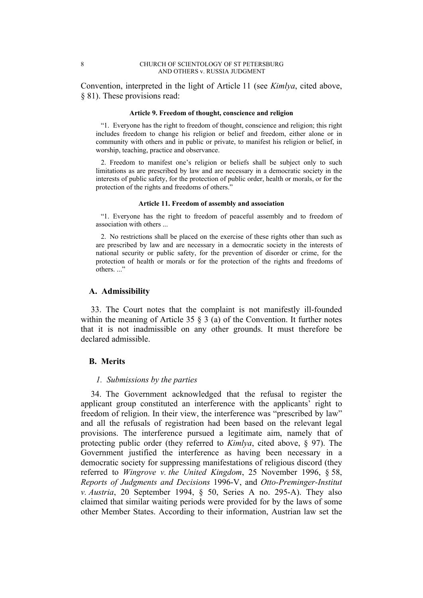Convention, interpreted in the light of Article 11 (see *Kimlya*, cited above, § 81). These provisions read:

#### **Article 9. Freedom of thought, conscience and religion**

"1. Everyone has the right to freedom of thought, conscience and religion; this right includes freedom to change his religion or belief and freedom, either alone or in community with others and in public or private, to manifest his religion or belief, in worship, teaching, practice and observance.

2. Freedom to manifest one's religion or beliefs shall be subject only to such limitations as are prescribed by law and are necessary in a democratic society in the interests of public safety, for the protection of public order, health or morals, or for the protection of the rights and freedoms of others."

#### **Article 11. Freedom of assembly and association**

"1. Everyone has the right to freedom of peaceful assembly and to freedom of association with others ...

2. No restrictions shall be placed on the exercise of these rights other than such as are prescribed by law and are necessary in a democratic society in the interests of national security or public safety, for the prevention of disorder or crime, for the protection of health or morals or for the protection of the rights and freedoms of others..."

#### **A. Admissibility**

33. The Court notes that the complaint is not manifestly ill-founded within the meaning of Article 35 § 3 (a) of the Convention. It further notes that it is not inadmissible on any other grounds. It must therefore be declared admissible.

#### **B. Merits**

#### *1. Submissions by the parties*

34. The Government acknowledged that the refusal to register the applicant group constituted an interference with the applicants' right to freedom of religion. In their view, the interference was "prescribed by law" and all the refusals of registration had been based on the relevant legal provisions. The interference pursued a legitimate aim, namely that of protecting public order (they referred to *Kimlya*, cited above, § 97). The Government justified the interference as having been necessary in a democratic society for suppressing manifestations of religious discord (they referred to *Wingrove v. the United Kingdom*, 25 November 1996, § 58, *Reports of Judgments and Decisions* 1996-V, and *Otto-Preminger-Institut v. Austria*, 20 September 1994, § 50, Series A no. 295-A). They also claimed that similar waiting periods were provided for by the laws of some other Member States. According to their information, Austrian law set the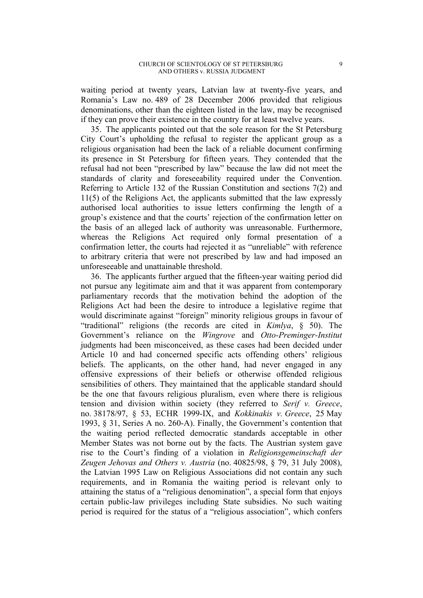waiting period at twenty years, Latvian law at twenty-five years, and Romania's Law no. 489 of 28 December 2006 provided that religious denominations, other than the eighteen listed in the law, may be recognised if they can prove their existence in the country for at least twelve years.

35. The applicants pointed out that the sole reason for the St Petersburg City Court's upholding the refusal to register the applicant group as a religious organisation had been the lack of a reliable document confirming its presence in St Petersburg for fifteen years. They contended that the refusal had not been "prescribed by law" because the law did not meet the standards of clarity and foreseeability required under the Convention. Referring to Article 132 of the Russian Constitution and sections 7(2) and 11(5) of the Religions Act, the applicants submitted that the law expressly authorised local authorities to issue letters confirming the length of a group's existence and that the courts' rejection of the confirmation letter on the basis of an alleged lack of authority was unreasonable. Furthermore, whereas the Religions Act required only formal presentation of a confirmation letter, the courts had rejected it as "unreliable" with reference to arbitrary criteria that were not prescribed by law and had imposed an unforeseeable and unattainable threshold.

36. The applicants further argued that the fifteen-year waiting period did not pursue any legitimate aim and that it was apparent from contemporary parliamentary records that the motivation behind the adoption of the Religions Act had been the desire to introduce a legislative regime that would discriminate against "foreign" minority religious groups in favour of "traditional" religions (the records are cited in *Kimlya*, § 50). The Government's reliance on the *Wingrove* and *Otto-Preminger-Institut* judgments had been misconceived, as these cases had been decided under Article 10 and had concerned specific acts offending others' religious beliefs. The applicants, on the other hand, had never engaged in any offensive expressions of their beliefs or otherwise offended religious sensibilities of others. They maintained that the applicable standard should be the one that favours religious pluralism, even where there is religious tension and division within society (they referred to *Serif v. Greece*, no. 38178/97, § 53, ECHR 1999-IX, and *Kokkinakis v. Greece*, 25 May 1993, § 31, Series A no. 260-A). Finally, the Government's contention that the waiting period reflected democratic standards acceptable in other Member States was not borne out by the facts. The Austrian system gave rise to the Court's finding of a violation in *Religionsgemeinschaft der Zeugen Jehovas and Others v. Austria* (no. 40825/98, § 79, 31 July 2008), the Latvian 1995 Law on Religious Associations did not contain any such requirements, and in Romania the waiting period is relevant only to attaining the status of a "religious denomination", a special form that enjoys certain public-law privileges including State subsidies. No such waiting period is required for the status of a "religious association", which confers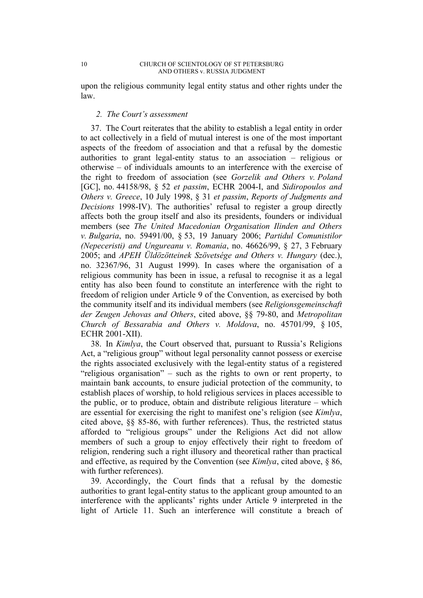upon the religious community legal entity status and other rights under the law.

### *2. The Court's assessment*

37. The Court reiterates that the ability to establish a legal entity in order to act collectively in a field of mutual interest is one of the most important aspects of the freedom of association and that a refusal by the domestic authorities to grant legal-entity status to an association – religious or otherwise – of individuals amounts to an interference with the exercise of the right to freedom of association (see *Gorzelik and Others v. Poland* [GC], no. 44158/98, § 52 *et passim*, ECHR 2004-I, and *Sidiropoulos and Others v. Greece*, 10 July 1998, § 31 *et passim*, *Reports of Judgments and Decisions* 1998-IV). The authorities' refusal to register a group directly affects both the group itself and also its presidents, founders or individual members (see *The United Macedonian Organisation Ilinden and Others v. Bulgaria*, no. 59491/00, § 53, 19 January 2006; *Partidul Comunistilor (Nepeceristi) and Ungureanu v. Romania*, no. 46626/99, § 27, 3 February 2005; and *APEH Üldözötteinek Szövetsége and Others v. Hungary* (dec.), no. 32367/96, 31 August 1999). In cases where the organisation of a religious community has been in issue, a refusal to recognise it as a legal entity has also been found to constitute an interference with the right to freedom of religion under Article 9 of the Convention, as exercised by both the community itself and its individual members (see *Religionsgemeinschaft der Zeugen Jehovas and Others*, cited above, §§ 79-80, and *Metropolitan Church of Bessarabia and Others v. Moldova*, no. 45701/99, § 105, ECHR 2001-XII).

38. In *Kimlya*, the Court observed that, pursuant to Russia's Religions Act, a "religious group" without legal personality cannot possess or exercise the rights associated exclusively with the legal-entity status of a registered "religious organisation" – such as the rights to own or rent property, to maintain bank accounts, to ensure judicial protection of the community, to establish places of worship, to hold religious services in places accessible to the public, or to produce, obtain and distribute religious literature – which are essential for exercising the right to manifest one's religion (see *Kimlya*, cited above, §§ 85-86, with further references). Thus, the restricted status afforded to "religious groups" under the Religions Act did not allow members of such a group to enjoy effectively their right to freedom of religion, rendering such a right illusory and theoretical rather than practical and effective, as required by the Convention (see *Kimlya*, cited above, § 86, with further references).

39. Accordingly, the Court finds that a refusal by the domestic authorities to grant legal-entity status to the applicant group amounted to an interference with the applicants' rights under Article 9 interpreted in the light of Article 11. Such an interference will constitute a breach of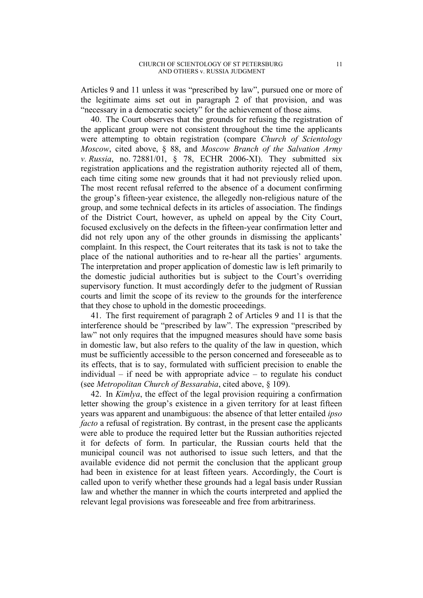Articles 9 and 11 unless it was "prescribed by law", pursued one or more of the legitimate aims set out in paragraph 2 of that provision, and was "necessary in a democratic society" for the achievement of those aims.

40. The Court observes that the grounds for refusing the registration of the applicant group were not consistent throughout the time the applicants were attempting to obtain registration (compare *Church of Scientology Moscow*, cited above, § 88, and *Moscow Branch of the Salvation Army v. Russia*, no. 72881/01, § 78, ECHR 2006-XI). They submitted six registration applications and the registration authority rejected all of them, each time citing some new grounds that it had not previously relied upon. The most recent refusal referred to the absence of a document confirming the group's fifteen-year existence, the allegedly non-religious nature of the group, and some technical defects in its articles of association. The findings of the District Court, however, as upheld on appeal by the City Court, focused exclusively on the defects in the fifteen-year confirmation letter and did not rely upon any of the other grounds in dismissing the applicants' complaint. In this respect, the Court reiterates that its task is not to take the place of the national authorities and to re-hear all the parties' arguments. The interpretation and proper application of domestic law is left primarily to the domestic judicial authorities but is subject to the Court's overriding supervisory function. It must accordingly defer to the judgment of Russian courts and limit the scope of its review to the grounds for the interference that they chose to uphold in the domestic proceedings.

41. The first requirement of paragraph 2 of Articles 9 and 11 is that the interference should be "prescribed by law". The expression "prescribed by law" not only requires that the impugned measures should have some basis in domestic law, but also refers to the quality of the law in question, which must be sufficiently accessible to the person concerned and foreseeable as to its effects, that is to say, formulated with sufficient precision to enable the individual – if need be with appropriate advice – to regulate his conduct (see *Metropolitan Church of Bessarabia*, cited above, § 109).

42. In *Kimlya*, the effect of the legal provision requiring a confirmation letter showing the group's existence in a given territory for at least fifteen years was apparent and unambiguous: the absence of that letter entailed *ipso facto* a refusal of registration. By contrast, in the present case the applicants were able to produce the required letter but the Russian authorities rejected it for defects of form. In particular, the Russian courts held that the municipal council was not authorised to issue such letters, and that the available evidence did not permit the conclusion that the applicant group had been in existence for at least fifteen years. Accordingly, the Court is called upon to verify whether these grounds had a legal basis under Russian law and whether the manner in which the courts interpreted and applied the relevant legal provisions was foreseeable and free from arbitrariness.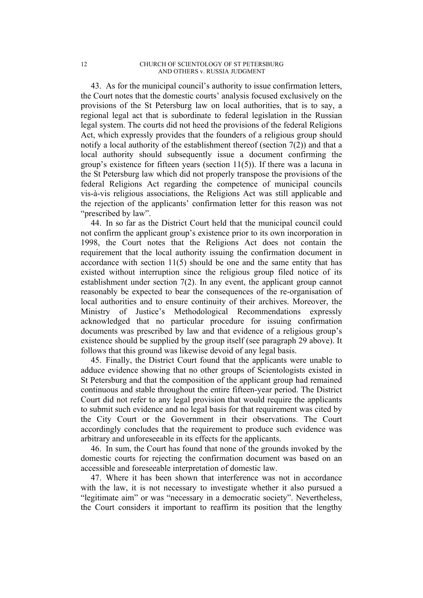43. As for the municipal council's authority to issue confirmation letters, the Court notes that the domestic courts' analysis focused exclusively on the provisions of the St Petersburg law on local authorities, that is to say, a regional legal act that is subordinate to federal legislation in the Russian legal system. The courts did not heed the provisions of the federal Religions Act, which expressly provides that the founders of a religious group should notify a local authority of the establishment thereof (section 7(2)) and that a local authority should subsequently issue a document confirming the group's existence for fifteen years (section 11(5)). If there was a lacuna in the St Petersburg law which did not properly transpose the provisions of the federal Religions Act regarding the competence of municipal councils vis-à-vis religious associations, the Religions Act was still applicable and the rejection of the applicants' confirmation letter for this reason was not "prescribed by law".

44. In so far as the District Court held that the municipal council could not confirm the applicant group's existence prior to its own incorporation in 1998, the Court notes that the Religions Act does not contain the requirement that the local authority issuing the confirmation document in accordance with section 11(5) should be one and the same entity that has existed without interruption since the religious group filed notice of its establishment under section 7(2). In any event, the applicant group cannot reasonably be expected to bear the consequences of the re-organisation of local authorities and to ensure continuity of their archives. Moreover, the Ministry of Justice's Methodological Recommendations expressly acknowledged that no particular procedure for issuing confirmation documents was prescribed by law and that evidence of a religious group's existence should be supplied by the group itself (see paragraph 29 above). It follows that this ground was likewise devoid of any legal basis.

45. Finally, the District Court found that the applicants were unable to adduce evidence showing that no other groups of Scientologists existed in St Petersburg and that the composition of the applicant group had remained continuous and stable throughout the entire fifteen-year period. The District Court did not refer to any legal provision that would require the applicants to submit such evidence and no legal basis for that requirement was cited by the City Court or the Government in their observations. The Court accordingly concludes that the requirement to produce such evidence was arbitrary and unforeseeable in its effects for the applicants.

46. In sum, the Court has found that none of the grounds invoked by the domestic courts for rejecting the confirmation document was based on an accessible and foreseeable interpretation of domestic law.

47. Where it has been shown that interference was not in accordance with the law, it is not necessary to investigate whether it also pursued a "legitimate aim" or was "necessary in a democratic society". Nevertheless, the Court considers it important to reaffirm its position that the lengthy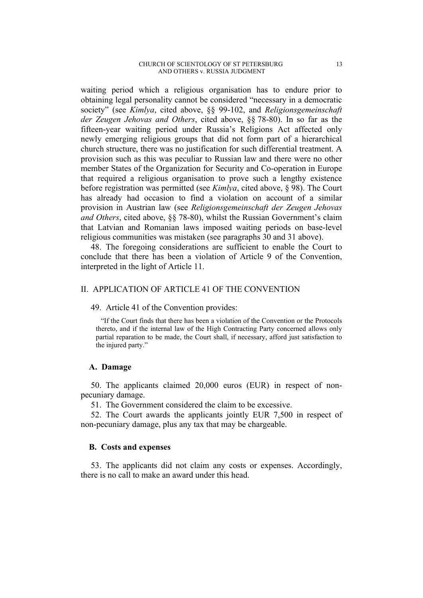#### CHURCH OF SCIENTOLOGY OF ST PETERSBURG 13 AND OTHERS v. RUSSIA JUDGMENT

waiting period which a religious organisation has to endure prior to obtaining legal personality cannot be considered "necessary in a democratic society" (see *Kimlya*, cited above, §§ 99-102, and *Religionsgemeinschaft der Zeugen Jehovas and Others*, cited above, §§ 78-80). In so far as the fifteen-year waiting period under Russia's Religions Act affected only newly emerging religious groups that did not form part of a hierarchical church structure, there was no justification for such differential treatment. A provision such as this was peculiar to Russian law and there were no other member States of the Organization for Security and Co-operation in Europe that required a religious organisation to prove such a lengthy existence before registration was permitted (see *Kimlya*, cited above, § 98). The Court has already had occasion to find a violation on account of a similar provision in Austrian law (see *Religionsgemeinschaft der Zeugen Jehovas and Others*, cited above, §§ 78-80), whilst the Russian Government's claim that Latvian and Romanian laws imposed waiting periods on base-level religious communities was mistaken (see paragraphs 30 and 31 above).

48. The foregoing considerations are sufficient to enable the Court to conclude that there has been a violation of Article 9 of the Convention, interpreted in the light of Article 11.

### II. APPLICATION OF ARTICLE 41 OF THE CONVENTION

#### 49. Article 41 of the Convention provides:

"If the Court finds that there has been a violation of the Convention or the Protocols thereto, and if the internal law of the High Contracting Party concerned allows only partial reparation to be made, the Court shall, if necessary, afford just satisfaction to the injured party."

#### **A. Damage**

50. The applicants claimed 20,000 euros (EUR) in respect of nonpecuniary damage.

51. The Government considered the claim to be excessive.

52. The Court awards the applicants jointly EUR 7,500 in respect of non-pecuniary damage, plus any tax that may be chargeable.

### **B. Costs and expenses**

53. The applicants did not claim any costs or expenses. Accordingly, there is no call to make an award under this head.